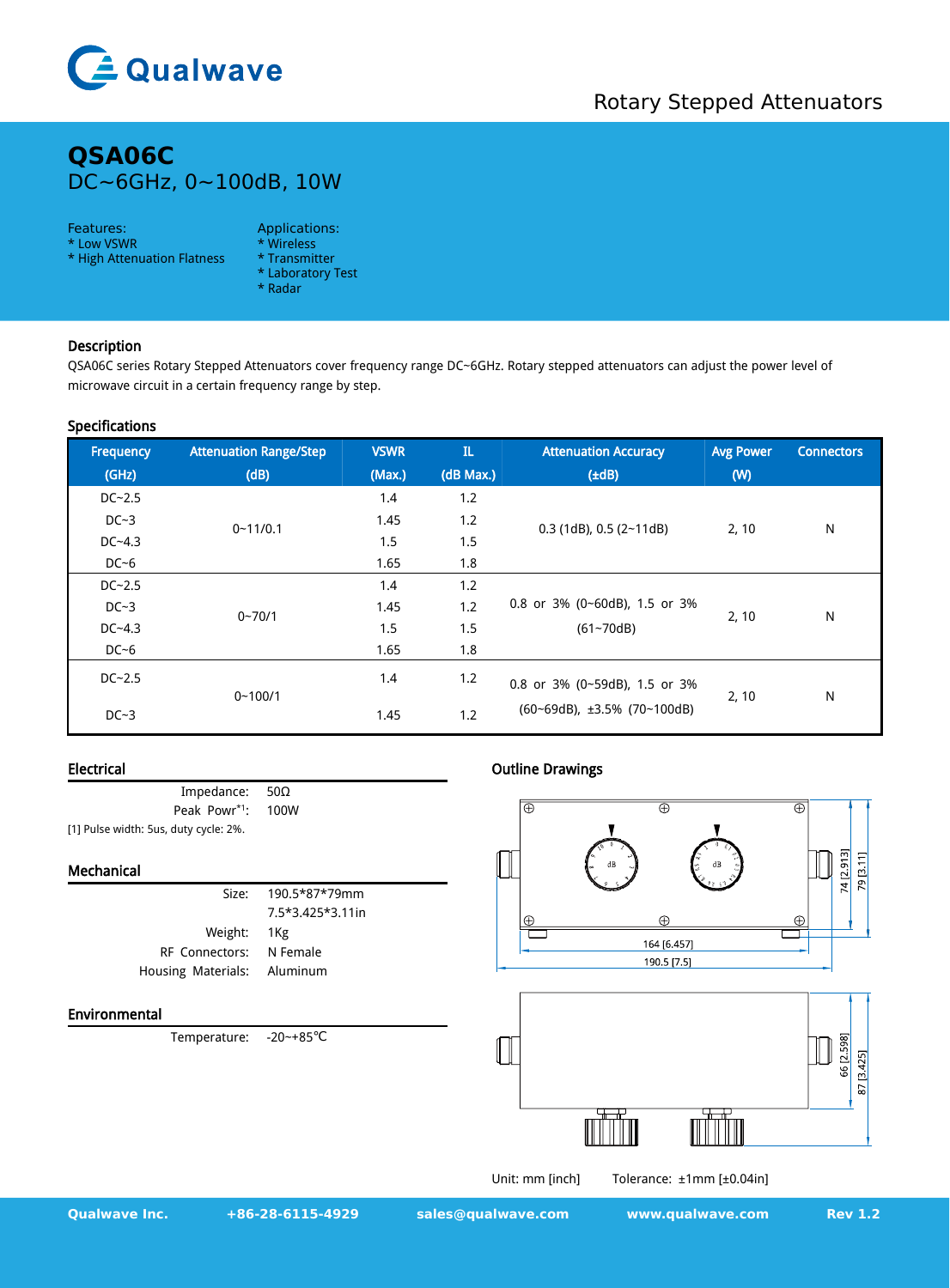

# **QSA06C** DC~6GHz, 0~100dB, 10W

### Features: Applications:

- \* Low VSWR \* Wireless<br>\* High Attenuation Flatness \* Transmitter \* High Attenuation Flatness
	-
	-
	- \* Laboratory Test
	- \* Radar

## Description

QSA06C series Rotary Stepped Attenuators cover frequency range DC~6GHz. Rotary stepped attenuators can adjust the power level of microwave circuit in a certain frequency range by step.

#### Specifications

| <b>Frequency</b> | <b>Attenuation Range/Step</b> | <b>VSWR</b> | ${\rm I\!L}$ | <b>Attenuation Accuracy</b>                                       | <b>Avg Power</b> | <b>Connectors</b> |
|------------------|-------------------------------|-------------|--------------|-------------------------------------------------------------------|------------------|-------------------|
| (GHz)            | (dB)                          | (Max.)      | (dB Max.)    | $(\pm dB)$                                                        | (W)              |                   |
| $DC-2.5$         | $0 - 11/0.1$                  | 1.4         | 1.2          | $0.3$ (1dB), $0.5$ (2~11dB)                                       | 2, 10            | N                 |
| $DC-3$           |                               | 1.45        | 1.2          |                                                                   |                  |                   |
| $DC - 4.3$       |                               | 1.5         | 1.5          |                                                                   |                  |                   |
| $DC-6$           |                               | 1.65        | 1.8          |                                                                   |                  |                   |
| $DC-2.5$         | $0 - 70/1$                    | 1.4         | 1.2          | 0.8 or 3% (0~60dB), 1.5 or 3%<br>$(61 - 70dB)$                    | 2, 10            | N                 |
| $DC-3$           |                               | 1.45        | 1.2          |                                                                   |                  |                   |
| $DC - 4.3$       |                               | 1.5         | 1.5          |                                                                   |                  |                   |
| $DC-6$           |                               | 1.65        | 1.8          |                                                                   |                  |                   |
| $DC-2.5$         | $0 - 100/1$                   | 1.4         | 1.2          | 0.8 or 3% (0~59dB), 1.5 or 3%<br>$(60~69dB)$ , ±3.5% $(70~100dB)$ | 2, 10            | N                 |
| $DC-3$           |                               | 1.45        | 1.2          |                                                                   |                  |                   |

### Electrical

| Impedance: $50\Omega$                 |  |
|---------------------------------------|--|
| Peak Powr <sup>*1</sup> : 100W        |  |
| [1] Pulse width: 5us, duty cycle: 2%. |  |

#### Mechanical

| Size:                       | 190.5*87*79mm    |   |
|-----------------------------|------------------|---|
|                             | 7.5*3.425*3.11in | Æ |
| Weight: 1Kg                 |                  |   |
| RF Connectors: N Female     |                  |   |
| Housing Materials: Aluminum |                  |   |
|                             |                  |   |

#### Environmental

Temperature: -20~+85℃

## Outline Drawings





Unit: mm [inch] Tolerance: ±1mm [±0.04in]